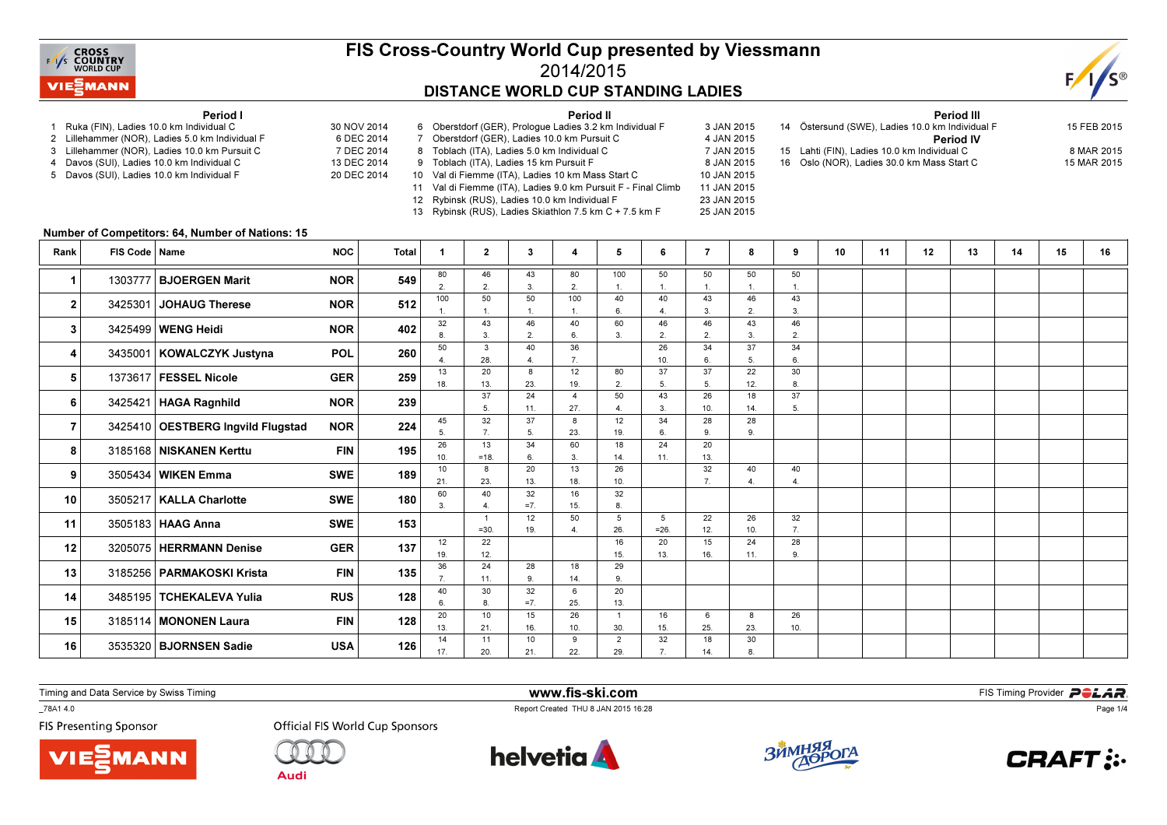

### FIS Cross-Country World Cup presented by Viessmann2014/2015DISTANCE WORLD CUP STANDING LADIES

Period II

25 JAN 2015



#### Period I

- 1 Ruka (FIN), Ladies 10.0 km Individual C 30 NOV 2014
- 2 Lillehammer (NOR), Ladies 5.0 km Individual F
- 3 Lillehammer (NOR), Ladies 10.0 km Pursuit C
- 4 Davos (SUI), Ladies 10.0 km Individual C 5 Davos (SUI), Ladies 10.0 km Individual F
- 6 DEC 2014 7 DEC 2014 13 DEC 2014 20 DEC 2014 6 Oberstdorf (GER), Prologue Ladies 3.2 km Individual F 3 JAN 2015 7 Oberstdorf (GER), Ladies 10.0 km Pursuit C 8 Toblach (ITA), Ladies 5.0 km Individual C 9 Toblach (ITA), Ladies 15 km Pursuit F 10 Val di Fiemme (ITA), Ladies 10 km Mass Start C
	- 11 Val di Fiemme (ITA), Ladies 9.0 km Pursuit F Final Climb12 Rybinsk (RUS), Ladies 10.0 km Individual F 23 JAN 2015
		- 13 Rybinsk (RUS), Ladies Skiathlon 7.5 km C + 7.5 km F
			-
- 4 JAN 2015 7 JAN 2015 8 JAN 2015 10 JAN 2015 11 JAN 2015 Period III <sup>14</sup> Östersund (SWE), Ladies 10.0 km Individual F 15 FEB 2015Period IV15 Lahti (FIN), Ladies 10.0 km Individual C 8 MAR 2015 16 Oslo (NOR), Ladies 30.0 km Mass Start C

|  |  | i FEB 2015      |  |
|--|--|-----------------|--|
|  |  | <b>MAD 2015</b> |  |

15 MAR 2015

#### Number of Competitors: 64, Number of Nations: 15

| Rank           | FIS Code   Name |                                   | <b>NOC</b> | Total |                       | $\overline{2}$       | 3          | 4                       | 5              | 6         |         | 8              | 9        | 10 | 11 | 12 | 13 | 14 | 15 | 16 |
|----------------|-----------------|-----------------------------------|------------|-------|-----------------------|----------------------|------------|-------------------------|----------------|-----------|---------|----------------|----------|----|----|----|----|----|----|----|
| 1              |                 | 1303777 BJOERGEN Marit            | <b>NOR</b> | 549   | 80                    | 46                   | 43         | 80                      | 100            | 50        | 50      | 50             | 50       |    |    |    |    |    |    |    |
|                |                 |                                   |            |       | $\overline{2}$<br>100 | $\overline{2}$<br>50 | 3<br>50    | 2.<br>100               | 40             | 40        | 43      | 46             | 43       |    |    |    |    |    |    |    |
| 2              |                 | 3425301 JOHAUG Therese            | <b>NOR</b> | 512   |                       |                      |            |                         | 6              |           | 3.      | $\overline{2}$ | 3.       |    |    |    |    |    |    |    |
| 3              |                 | 3425499   WENG Heidi              | <b>NOR</b> | 402   | 32                    | 43                   | 46         | 40                      | 60             | 46        | 46      | 43             | 46       |    |    |    |    |    |    |    |
|                |                 |                                   |            |       |                       | 3.                   | 2.         | 6.                      | 3.             | 2.        | 2.      | 3.             | 2.       |    |    |    |    |    |    |    |
| 4              |                 | 3435001   KOWALCZYK Justyna       | <b>POL</b> | 260   | 50                    | $\mathbf{3}$<br>28.  | 40         | 36                      |                | 26<br>10. | 34      | 37             | 34<br>6. |    |    |    |    |    |    |    |
|                |                 |                                   |            |       | 13                    | 20                   | 8          | 12                      | 80             | 37        | 37      | 22             | 30       |    |    |    |    |    |    |    |
| 5              |                 | 1373617   FESSEL Nicole           | <b>GER</b> | 259   | 18.                   | 13.                  | 23.        | 19.                     | 2.             | 5.        | 5.      | 12.            | 8.       |    |    |    |    |    |    |    |
| 6              |                 | 3425421   HAGA Ragnhild           | <b>NOR</b> | 239   |                       | 37                   | 24         | $\overline{\mathbf{4}}$ | 50             | 43        | 26      | 18             | 37       |    |    |    |    |    |    |    |
|                |                 |                                   |            |       |                       | 5                    | 11.        | 27.                     |                | 3.        | 10.     | 14.            | 5        |    |    |    |    |    |    |    |
| $\overline{7}$ |                 | 3425410 OESTBERG Ingvild Flugstad | <b>NOR</b> | 224   | 45                    | 32<br>$\overline{7}$ | 37<br>5    | 23.                     | 12<br>19.      | 34<br>6.  | 28<br>9 | 28<br>9.       |          |    |    |    |    |    |    |    |
|                |                 |                                   |            |       | 26                    | 13                   | 34         | 60                      | 18             | 24        | 20      |                |          |    |    |    |    |    |    |    |
| 8              |                 | 3185168 NISKANEN Kerttu           | <b>FIN</b> | 195   | 10 <sub>1</sub>       | $=18.$               | 6          | 3.                      | 14.            | 11.       | 13.     |                |          |    |    |    |    |    |    |    |
| 9              |                 | 3505434 WIKEN Emma                | <b>SWE</b> | 189   | 10                    | 8                    | 20         | 13                      | 26             |           | 32      | 40             | 40       |    |    |    |    |    |    |    |
|                |                 |                                   |            |       | 21.                   | 23.                  | 13.        | 18.                     | 10.            |           |         | 4.             |          |    |    |    |    |    |    |    |
| 10             |                 | 3505217   KALLA Charlotte         | <b>SWE</b> | 180   | 60<br>$\mathbf{R}$    | 40                   | 32         | 16                      | 32             |           |         |                |          |    |    |    |    |    |    |    |
|                |                 |                                   |            |       |                       | $\overline{1}$       | $=7$<br>12 | 15.<br>50               | 8.<br>5        | 5         | 22      | 26             | 32       |    |    |    |    |    |    |    |
| 11             |                 | 3505183   HAAG Anna               | <b>SWE</b> | 153   |                       | $=30.$               | 19.        |                         | 26.            | $=26$ .   | 12.     | 10.            | 7.       |    |    |    |    |    |    |    |
| 12             |                 | 3205075 HERRMANN Denise           | <b>GER</b> | 137   | 12                    | 22                   |            |                         | 16             | 20        | 15      | 24             | 28       |    |    |    |    |    |    |    |
|                |                 |                                   |            |       | 19.                   | 12.                  |            |                         | 15.            | 13.       | 16.     | 11.            | 9        |    |    |    |    |    |    |    |
| 13             |                 | 3185256   PARMAKOSKI Krista       | <b>FIN</b> | 135   | 36                    | 24                   | 28<br>9    | 18                      | 29<br>9        |           |         |                |          |    |    |    |    |    |    |    |
|                |                 |                                   |            |       | 40                    | 11.<br>30            | 32         | 14.<br>6                | 20             |           |         |                |          |    |    |    |    |    |    |    |
| 14             |                 | 3485195 TCHEKALEVA Yulia          | <b>RUS</b> | 128   | 6                     | $\mathbf{a}$         | $=7$ .     | 25.                     | 13.            |           |         |                |          |    |    |    |    |    |    |    |
| 15             |                 | 3185114 MONONEN Laura             | <b>FIN</b> | 128   | 20                    | 10                   | 15         | 26                      |                | 16        | 6       | 8              | 26       |    |    |    |    |    |    |    |
|                |                 |                                   |            |       | 13.                   | 21.                  | 16.        | 10.                     | 30.            | 15.       | 25.     | 23.            | 10.      |    |    |    |    |    |    |    |
| 16             |                 | 3535320   BJORNSEN Sadie          | <b>USA</b> | 126   | 14                    | 11                   | 10         | 9                       | $\overline{2}$ | 32        | 18      | 30             |          |    |    |    |    |    |    |    |
|                |                 |                                   |            | 17.   | 20.                   | 21.                  | 22.        | 29.                     |                | 14.       | 8       |                |          |    |    |    |    |    |    |    |

Timing and Data Service by Swiss Timing

MANN!

\_78A1 4.0

**FIS Presenting Sponsor** 



**Audi** 



www.fis-ski.com

Report Created THU 8 JAN 2015 16:28



**m**<br>FIS Timing Provider<br>F<sup>16.28</sup>



Page 1/4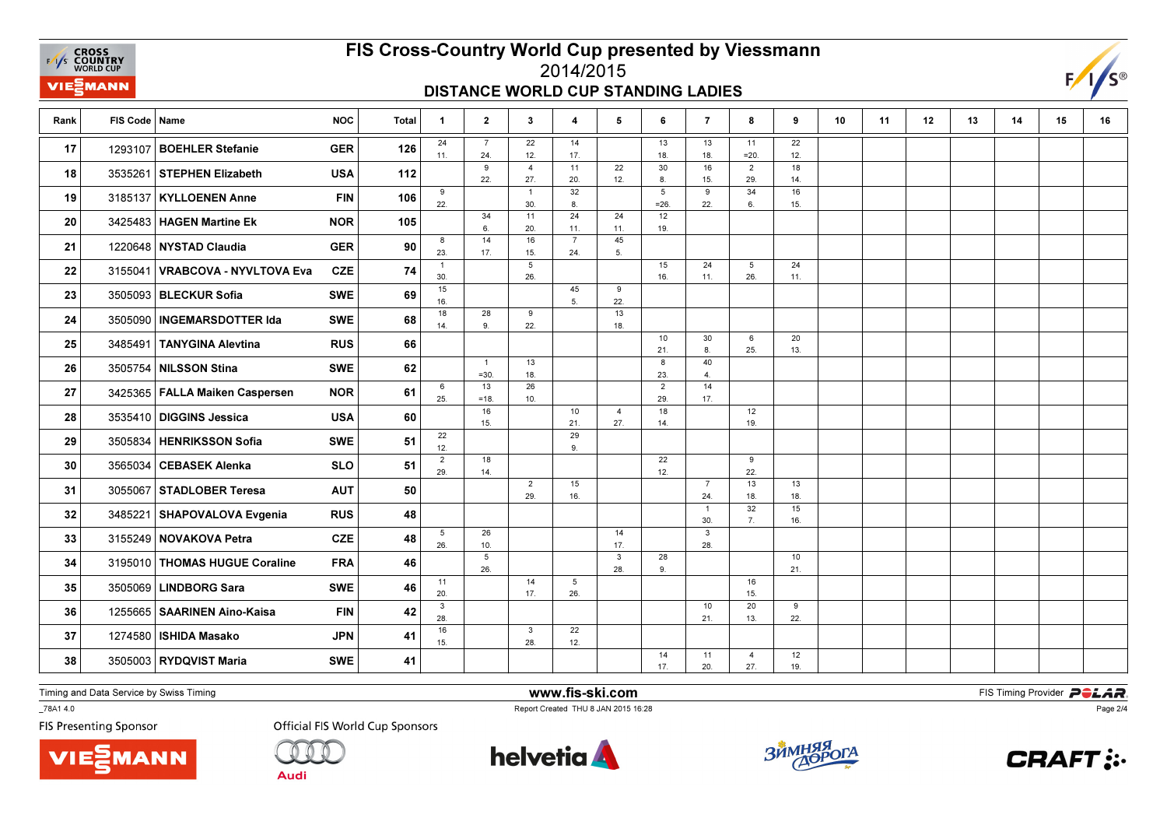**EXAMPLE CROSS**<br>
FAYS **COUNTRY**<br>
WORLD CUP **VIE***MANN* 

## FIS Cross-Country World Cup presented by Viessmann

#### 2014/2015DISTANCE WORLD CUP STANDING LADIES



| Rank | FIS Code   Name |                                  | <b>NOC</b> | <b>Total</b> | 1                      | $\mathbf{2}$           | 3                     | $\overline{4}$        | 5                     | 6                     | $\overline{7}$             | 8                     | 9         | 10 | 11 | 12 | 13 | 14 | 15 | 16 |
|------|-----------------|----------------------------------|------------|--------------|------------------------|------------------------|-----------------------|-----------------------|-----------------------|-----------------------|----------------------------|-----------------------|-----------|----|----|----|----|----|----|----|
| 17   | 1293107         | <b>BOEHLER Stefanie</b>          | <b>GER</b> | 126          | 24<br>11.              | $\overline{7}$<br>24.  | 22<br>12.             | 14<br>17.             |                       | 13<br>18.             | 13<br>18.                  | 11<br>$=20.$          | 22<br>12. |    |    |    |    |    |    |    |
| 18   |                 | 3535261 STEPHEN Elizabeth        | <b>USA</b> | 112          |                        | 9<br>22.               | $\overline{4}$<br>27. | 11<br>20.             | 22<br>12.             | 30<br>8.              | 16<br>15.                  | $\overline{2}$<br>29. | 18<br>14. |    |    |    |    |    |    |    |
| 19   | 3185137         | <b>KYLLOENEN Anne</b>            | <b>FIN</b> | 106          | 9<br>22.               |                        | $\overline{1}$<br>30. | 32<br>8.              |                       | 5<br>$= 26.$          | 9<br>22.                   | 34<br>6.              | 16<br>15. |    |    |    |    |    |    |    |
| 20   | 3425483         | <b>HAGEN Martine Ek</b>          | <b>NOR</b> | 105          |                        | 34<br>6.               | 11<br>20.             | 24<br>11.             | 24<br>11.             | 12<br>19.             |                            |                       |           |    |    |    |    |    |    |    |
| 21   |                 | 1220648 NYSTAD Claudia           | <b>GER</b> | 90           | 8<br>23.               | 14<br>17.              | 16<br>15.             | $\overline{7}$<br>24. | 45<br>5.              |                       |                            |                       |           |    |    |    |    |    |    |    |
| 22   | 3155041         | VRABCOVA - NYVLTOVA Eva          | <b>CZE</b> | 74           | $\mathbf{1}$<br>30.    |                        | 5<br>26.              |                       |                       | 15<br>16.             | 24<br>11.                  | 5<br>26.              | 24<br>11. |    |    |    |    |    |    |    |
| 23   |                 | 3505093   BLECKUR Sofia          | <b>SWE</b> | 69           | 15<br>16.              |                        |                       | 45<br>5 <sub>1</sub>  | 9<br>22.              |                       |                            |                       |           |    |    |    |    |    |    |    |
| 24   | 3505090         | <b>INGEMARSDOTTER Ida</b>        | <b>SWE</b> | 68           | 18<br>14.              | 28<br>9.               | 9<br>22.              |                       | 13<br>18.             |                       |                            |                       |           |    |    |    |    |    |    |    |
| 25   | 3485491         | TANYGINA Alevtina                | <b>RUS</b> | 66           |                        |                        |                       |                       |                       | 10<br>21.             | 30<br>8.                   | 6<br>25.              | 20<br>13. |    |    |    |    |    |    |    |
| 26   | 3505754         | NILSSON Stina                    | <b>SWE</b> | 62           |                        | $\mathbf{1}$<br>$=30.$ | 13<br>18.             |                       |                       | 8<br>23.              | 40<br>4.                   |                       |           |    |    |    |    |    |    |    |
| 27   |                 | 3425365   FALLA Maiken Caspersen | <b>NOR</b> | 61           | 6<br>25.               | 13<br>$=18.$           | 26<br>10.             |                       |                       | $\overline{2}$<br>29. | 14<br>17.                  |                       |           |    |    |    |    |    |    |    |
| 28   | 3535410         | DIGGINS Jessica                  | <b>USA</b> | 60           |                        | 16<br>15.              |                       | 10<br>21.             | $\overline{4}$<br>27. | 18<br>14.             |                            | 12<br>19.             |           |    |    |    |    |    |    |    |
| 29   | 3505834         | <b>HENRIKSSON Sofia</b>          | <b>SWE</b> | 51           | 22<br>12.              |                        |                       | 29<br>9.              |                       |                       |                            |                       |           |    |    |    |    |    |    |    |
| 30   | 3565034         | <b>CEBASEK Alenka</b>            | <b>SLO</b> | 51           | $\overline{2}$<br>29.  | 18<br>14.              |                       |                       |                       | 22<br>12.             |                            | 9<br>22.              |           |    |    |    |    |    |    |    |
| 31   | 3055067         | <b>STADLOBER Teresa</b>          | <b>AUT</b> | 50           |                        |                        | $\overline{2}$<br>29. | 15<br>16.             |                       |                       | $\overline{7}$<br>24.      | 13<br>18.             | 13<br>18. |    |    |    |    |    |    |    |
| 32   |                 | 3485221 SHAPOVALOVA Evgenia      | <b>RUS</b> | 48           |                        |                        |                       |                       |                       |                       | $\mathbf{1}$               | 32<br>7.              | 15        |    |    |    |    |    |    |    |
| 33   |                 | 3155249 NOVAKOVA Petra           | <b>CZE</b> | 48           | $5\phantom{.0}$<br>26. | 26<br>10.              |                       |                       | 14<br>17.             |                       | 30.<br>$\mathbf{3}$<br>28. |                       | 16.       |    |    |    |    |    |    |    |
| 34   | 3195010         | THOMAS HUGUE Coraline            | <b>FRA</b> | 46           |                        | 5<br>26.               |                       |                       | $\mathbf{3}$<br>28.   | 28                    |                            |                       | 10        |    |    |    |    |    |    |    |
| 35   | 3505069         | <b>LINDBORG Sara</b>             | <b>SWE</b> | 46           | 11                     |                        | 14                    | 5                     |                       | 9.                    |                            | 16                    | 21.       |    |    |    |    |    |    |    |
| 36   |                 | 1255665   SAARINEN Aino-Kaisa    | <b>FIN</b> | 42           | 20.<br>3               |                        | 17.                   | 26.                   |                       |                       | 10                         | 15.<br>20             | 9         |    |    |    |    |    |    |    |
| 37   | 1274580         | <b>ISHIDA Masako</b>             | <b>JPN</b> | 41           | 28.<br>16              |                        | $\mathbf{3}$          | 22                    |                       |                       | 21.                        | 13.                   | 22.       |    |    |    |    |    |    |    |
| 38   |                 | 3505003 RYDQVIST Maria           | <b>SWE</b> | 41           | 15.                    |                        | 28.                   | 12.                   |                       | 14                    | 11                         | $\overline{4}$        | 12        |    |    |    |    |    |    |    |
|      |                 |                                  |            |              |                        |                        |                       |                       |                       | 17.                   | 20.                        | 27.                   | 19.       |    |    |    |    |    |    |    |

Timing and Data Service by Swiss Timing

VIEZMANN

\_78A1 4.0

**FIS Presenting Sponsor** 

**Official FIS World Cup Sponsors** 

**Audi** 



www.fis-ski.com

Report Created THU 8 JAN 2015 16:28



**m**<br>FIS Timing Provider<br>F<sup>16.28</sup>



Page 2/4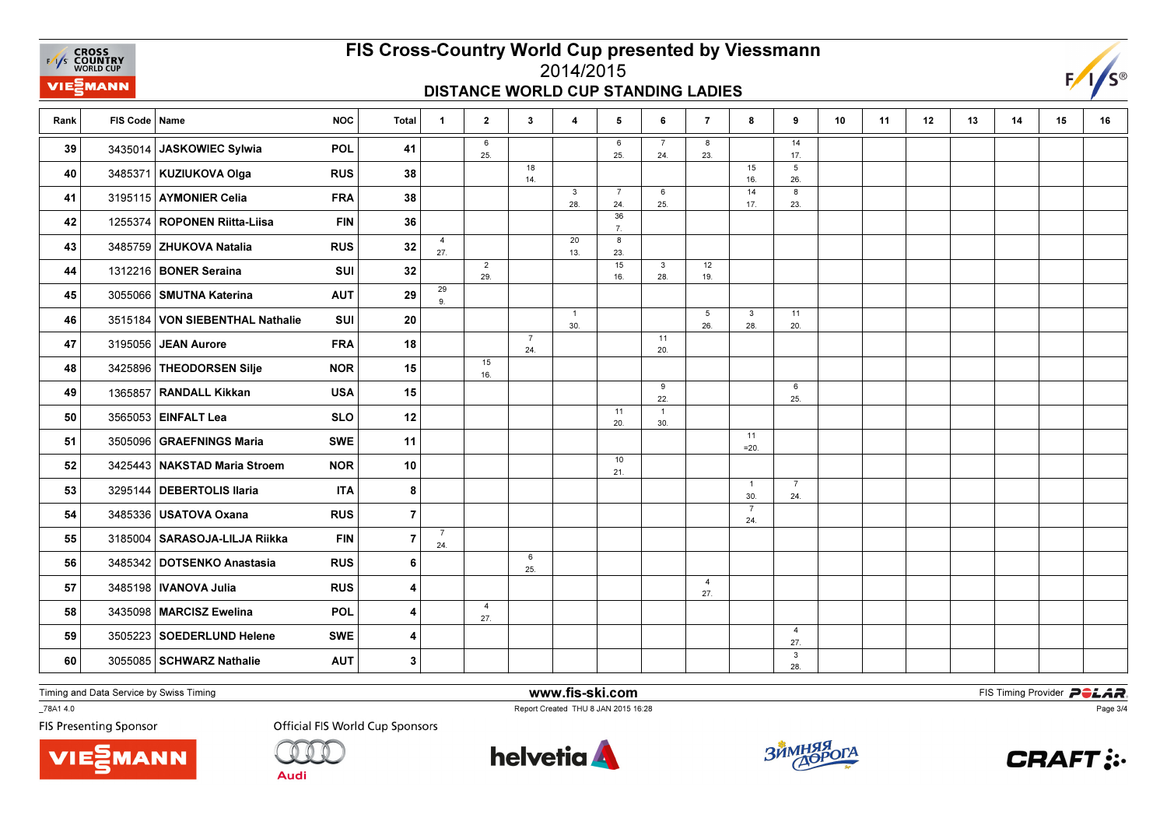**EXAMPLE CROSS**<br>
FAYS **COUNTRY**<br>
WORLD CUP VIEZMANN

## FIS Cross-Country World Cup presented by Viessmann2014/2015

### DISTANCE WORLD CUP STANDING LADIES



| Rank | FIS Code   Name |                                 | <b>NOC</b> | <b>Total</b>   | $\overline{1}$        | $\mathbf{2}$          | $\mathbf{3}$          | $\overline{\mathbf{4}}$ | 5                     | 6                     | $\overline{7}$        | 8                     | 9                      | 10 | 11 | 12 | 13 | 14 | 15 | 16 |
|------|-----------------|---------------------------------|------------|----------------|-----------------------|-----------------------|-----------------------|-------------------------|-----------------------|-----------------------|-----------------------|-----------------------|------------------------|----|----|----|----|----|----|----|
| 39   | 3435014         | JASKOWIEC Sylwia                | POL        | 41             |                       | 6<br>25.              |                       |                         | 6<br>25.              | $\overline{7}$<br>24. | 8<br>23.              |                       | 14<br>17.              |    |    |    |    |    |    |    |
| 40   |                 | 3485371 KUZIUKOVA Olga          | <b>RUS</b> | 38             |                       |                       | 18<br>14.             |                         |                       |                       |                       | 15<br>16.             | $5\phantom{.0}$<br>26. |    |    |    |    |    |    |    |
| 41   |                 | 3195115 AYMONIER Celia          | <b>FRA</b> | 38             |                       |                       |                       | $\mathbf{3}$<br>28.     | $\overline{7}$<br>24. | 6<br>25.              |                       | 14<br>17.             | 8<br>23.               |    |    |    |    |    |    |    |
| 42   |                 | 1255374 ROPONEN Riitta-Liisa    | <b>FIN</b> | 36             |                       |                       |                       |                         | 36                    |                       |                       |                       |                        |    |    |    |    |    |    |    |
| 43   |                 | 3485759 ZHUKOVA Natalia         | <b>RUS</b> | 32             | $\overline{4}$        |                       |                       | 20                      | 7.<br>8               |                       |                       |                       |                        |    |    |    |    |    |    |    |
| 44   |                 | 1312216 BONER Seraina           | SUI        | 32             | 27.                   | $\overline{2}$        |                       | 13.                     | 23.<br>15             | $\mathbf{3}$          | 12                    |                       |                        |    |    |    |    |    |    |    |
|      |                 |                                 |            |                | 29                    | 29.                   |                       |                         | 16.                   | 28.                   | 19.                   |                       |                        |    |    |    |    |    |    |    |
| 45   |                 | 3055066   SMUTNA Katerina       | <b>AUT</b> | 29             | 9.                    |                       |                       | $\overline{1}$          |                       |                       | $5\overline{5}$       | $\mathbf{3}$          | 11                     |    |    |    |    |    |    |    |
| 46   |                 | 3515184 VON SIEBENTHAL Nathalie | <b>SUI</b> | 20             |                       |                       |                       | 30.                     |                       |                       | 26.                   | 28.                   | 20.                    |    |    |    |    |    |    |    |
| 47   |                 | 3195056 JEAN Aurore             | <b>FRA</b> | 18             |                       |                       | $\overline{7}$<br>24. |                         |                       | 11<br>20.             |                       |                       |                        |    |    |    |    |    |    |    |
| 48   |                 | 3425896 THEODORSEN Silje        | <b>NOR</b> | 15             |                       | 15<br>16.             |                       |                         |                       |                       |                       |                       |                        |    |    |    |    |    |    |    |
| 49   |                 | 1365857 RANDALL Kikkan          | <b>USA</b> | 15             |                       |                       |                       |                         |                       | 9<br>22.              |                       |                       | 6<br>25.               |    |    |    |    |    |    |    |
| 50   |                 | 3565053 EINFALT Lea             | <b>SLO</b> | 12             |                       |                       |                       |                         | 11<br>20.             | $\overline{1}$<br>30. |                       |                       |                        |    |    |    |    |    |    |    |
| 51   |                 | 3505096 GRAEFNINGS Maria        | <b>SWE</b> | 11             |                       |                       |                       |                         |                       |                       |                       | 11                    |                        |    |    |    |    |    |    |    |
| 52   |                 | 3425443 NAKSTAD Maria Stroem    | <b>NOR</b> | 10             |                       |                       |                       |                         | 10                    |                       |                       | $=20.$                |                        |    |    |    |    |    |    |    |
|      |                 | 3295144   DEBERTOLIS Ilaria     | <b>ITA</b> |                |                       |                       |                       |                         | 21.                   |                       |                       | $\overline{1}$        | $\overline{7}$         |    |    |    |    |    |    |    |
| 53   |                 |                                 |            | 8              |                       |                       |                       |                         |                       |                       |                       | 30.<br>$\overline{7}$ | 24.                    |    |    |    |    |    |    |    |
| 54   |                 | 3485336 USATOVA Oxana           | <b>RUS</b> | $\overline{7}$ |                       |                       |                       |                         |                       |                       |                       | 24.                   |                        |    |    |    |    |    |    |    |
| 55   |                 | 3185004 SARASOJA-LILJA Riikka   | <b>FIN</b> | $\overline{7}$ | $\overline{7}$<br>24. |                       |                       |                         |                       |                       |                       |                       |                        |    |    |    |    |    |    |    |
| 56   |                 | 3485342 DOTSENKO Anastasia      | <b>RUS</b> | 6              |                       |                       | 6<br>25.              |                         |                       |                       |                       |                       |                        |    |    |    |    |    |    |    |
| 57   |                 | 3485198   IVANOVA Julia         | <b>RUS</b> | 4              |                       |                       |                       |                         |                       |                       | $\overline{4}$<br>27. |                       |                        |    |    |    |    |    |    |    |
| 58   |                 | 3435098   MARCISZ Ewelina       | POL        | 4              |                       | $\overline{4}$<br>27. |                       |                         |                       |                       |                       |                       |                        |    |    |    |    |    |    |    |
| 59   |                 | 3505223 SOEDERLUND Helene       | <b>SWE</b> | 4              |                       |                       |                       |                         |                       |                       |                       |                       | $\overline{4}$         |    |    |    |    |    |    |    |
|      |                 |                                 |            |                |                       |                       |                       |                         |                       |                       |                       |                       | 27.<br>$\mathbf{3}$    |    |    |    |    |    |    |    |
| 60   |                 | 3055085   SCHWARZ Nathalie      | <b>AUT</b> | $\mathbf{3}$   |                       |                       |                       |                         |                       |                       |                       |                       | 28.                    |    |    |    |    |    |    |    |

Timing and Data Service by Swiss Timing

VIEZMANN

\_78A1 4.0

**FIS Presenting Sponsor** 



**Audi** 



www.fis-ski.com

Report Created THU 8 JAN 2015 16:28



**m**<br>FIS Timing Provider<br>F<sup>16.28</sup>



Page 3/4